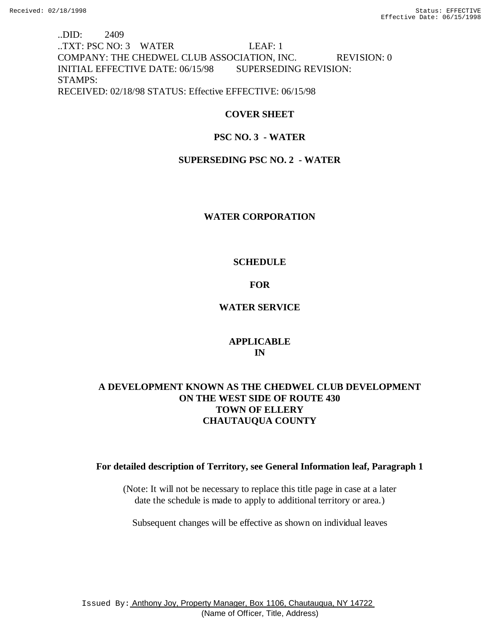..DID: 2409 ..TXT: PSC NO: 3 WATER LEAF: 1 COMPANY: THE CHEDWEL CLUB ASSOCIATION, INC. REVISION: 0 INITIAL EFFECTIVE DATE: 06/15/98 SUPERSEDING REVISION: STAMPS: RECEIVED: 02/18/98 STATUS: Effective EFFECTIVE: 06/15/98

# **COVER SHEET**

# **PSC NO. 3 - WATER**

# **SUPERSEDING PSC NO. 2 - WATER**

## **WATER CORPORATION**

# **SCHEDULE**

# **FOR**

# **WATER SERVICE**

# **APPLICABLE IN**

# **A DEVELOPMENT KNOWN AS THE CHEDWEL CLUB DEVELOPMENT ON THE WEST SIDE OF ROUTE 430 TOWN OF ELLERY CHAUTAUQUA COUNTY**

## **For detailed description of Territory, see General Information leaf, Paragraph 1**

(Note: It will not be necessary to replace this title page in case at a later date the schedule is made to apply to additional territory or area.)

Subsequent changes will be effective as shown on individual leaves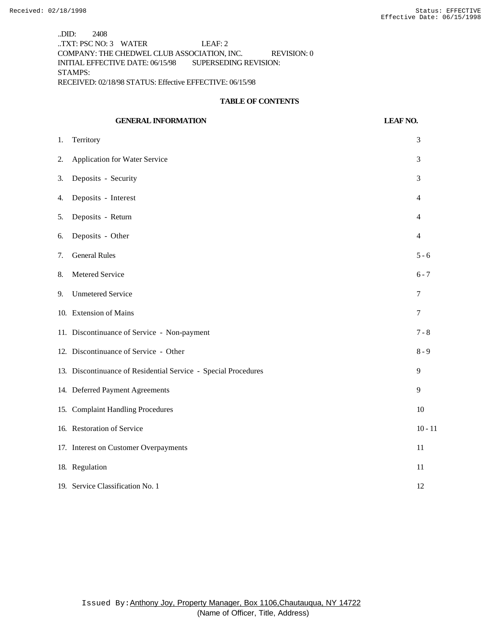..DID: 2408 ..TXT: PSC NO: 3 WATER LEAF: 2 COMPANY: THE CHEDWEL CLUB ASSOCIATION, INC. REVISION: 0 INITIAL EFFECTIVE DATE: 06/15/98 SUPERSEDING REVISION: STAMPS: RECEIVED: 02/18/98 STATUS: Effective EFFECTIVE: 06/15/98

#### **TABLE OF CONTENTS**

# **GENERAL INFORMATION LEAF NO.** 1. Territory 3 2. Application for Water Service 3 3. Deposits - Security 3 4. Deposits - Interest 4 5. Deposits - Return 4 6. Deposits - Other 4 7. General Rules 5 - 6 8. Metered Service 6 - 7 9. Unmetered Service 7 10. Extension of Mains 7 11. Discontinuance of Service - Non-payment 7 - 8 12. Discontinuance of Service - Other 8 - 9 13. Discontinuance of Residential Service - Special Procedures 9 14. Deferred Payment Agreements 9 15. Complaint Handling Procedures 10 16. Restoration of Service 10 - 11 17. Interest on Customer Overpayments 11 18. Regulation 11 19. Service Classification No. 1 12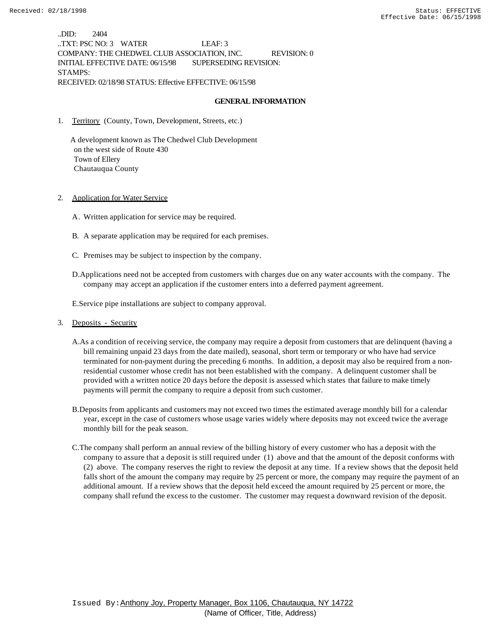..DID: 2404 ..TXT: PSC NO: 3 WATER LEAF: 3 COMPANY: THE CHEDWEL CLUB ASSOCIATION, INC. REVISION: 0 INITIAL EFFECTIVE DATE: 06/15/98 SUPERSEDING REVISION: STAMPS: RECEIVED: 02/18/98 STATUS: Effective EFFECTIVE: 06/15/98

#### **GENERAL INFORMATION**

1. Territory (County, Town, Development, Streets, etc.)

 A development known as The Chedwel Club Development on the west side of Route 430 Town of Ellery Chautauqua County

- 2. Application for Water Service
	- A. Written application for service may be required.
	- B. A separate application may be required for each premises.
	- C. Premises may be subject to inspection by the company.
	- D.Applications need not be accepted from customers with charges due on any water accounts with the company. The company may accept an application if the customer enters into a deferred payment agreement.

E.Service pipe installations are subject to company approval.

- 3. Deposits Security
	- A.As a condition of receiving service, the company may require a deposit from customers that are delinquent (having a bill remaining unpaid 23 days from the date mailed), seasonal, short term or temporary or who have had service terminated for non-payment during the preceding 6 months. In addition, a deposit may also be required from a nonresidential customer whose credit has not been established with the company. A delinquent customer shall be provided with a written notice 20 days before the deposit is assessed which states that failure to make timely payments will permit the company to require a deposit from such customer.
	- B.Deposits from applicants and customers may not exceed two times the estimated average monthly bill for a calendar year, except in the case of customers whose usage varies widely where deposits may not exceed twice the average monthly bill for the peak season.
	- C.The company shall perform an annual review of the billing history of every customer who has a deposit with the company to assure that a deposit is still required under (1) above and that the amount of the deposit conforms with (2) above. The company reserves the right to review the deposit at any time. If a review shows that the deposit held falls short of the amount the company may require by 25 percent or more, the company may require the payment of an additional amount. If a review shows that the deposit held exceed the amount required by 25 percent or more, the company shall refund the excess to the customer. The customer may request a downward revision of the deposit.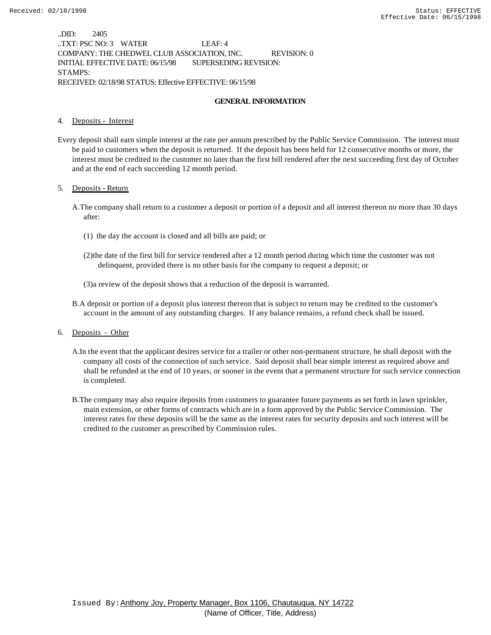..DID: 2405 ..TXT: PSC NO: 3 WATER LEAF: 4 COMPANY: THE CHEDWEL CLUB ASSOCIATION, INC. REVISION: 0 INITIAL EFFECTIVE DATE: 06/15/98 SUPERSEDING REVISION: STAMPS: RECEIVED: 02/18/98 STATUS: Effective EFFECTIVE: 06/15/98

#### **GENERAL INFORMATION**

#### 4. Deposits - Interest

Every deposit shall earn simple interest at the rate per annum prescribed by the Public Service Commission. The interest must be paid to customers when the deposit is returned. If the deposit has been held for 12 consecutive months or more, the interest must be credited to the customer no later than the first bill rendered after the next succeeding first day of October and at the end of each succeeding 12 month period.

#### 5. Deposits - Return

- A.The company shall return to a customer a deposit or portion of a deposit and all interest thereon no more than 30 days after:
	- (1) the day the account is closed and all bills are paid; or
	- (2)the date of the first bill for service rendered after a 12 month period during which time the customer was not delinquent, provided there is no other basis for the company to request a deposit; or
	- (3)a review of the deposit shows that a reduction of the deposit is warranted.
- B.A deposit or portion of a deposit plus interest thereon that is subject to return may be credited to the customer's account in the amount of any outstanding charges. If any balance remains, a refund check shall be issued.
- 6. Deposits Other
	- A.In the event that the applicant desires service for a trailer or other non-permanent structure, he shall deposit with the company all costs of the connection of such service. Said deposit shall bear simple interest as required above and shall be refunded at the end of 10 years, or sooner in the event that a permanent structure for such service connection is completed.
	- B.The company may also require deposits from customers to guarantee future payments as set forth in lawn sprinkler, main extension, or other forms of contracts which are in a form approved by the Public Service Commission. The interest rates for these deposits will be the same as the interest rates for security deposits and such interest will be credited to the customer as prescribed by Commission rules.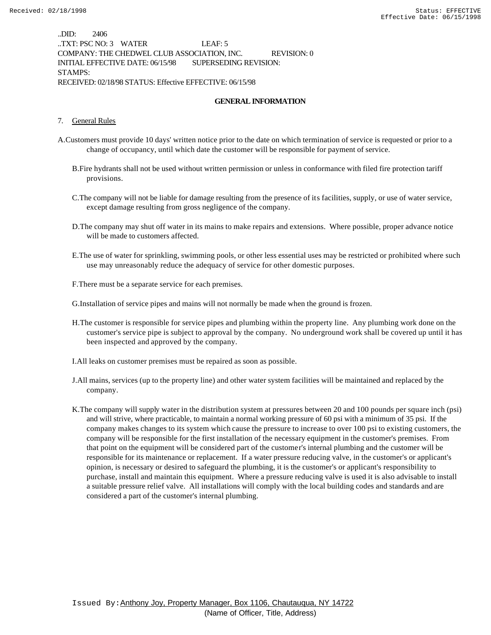..DID: 2406 ..TXT: PSC NO: 3 WATER LEAF: 5 COMPANY: THE CHEDWEL CLUB ASSOCIATION, INC. REVISION: 0 INITIAL EFFECTIVE DATE: 06/15/98 SUPERSEDING REVISION: STAMPS: RECEIVED: 02/18/98 STATUS: Effective EFFECTIVE: 06/15/98

#### **GENERAL INFORMATION**

#### 7. General Rules

- A.Customers must provide 10 days' written notice prior to the date on which termination of service is requested or prior to a change of occupancy, until which date the customer will be responsible for payment of service.
	- B.Fire hydrants shall not be used without written permission or unless in conformance with filed fire protection tariff provisions.
	- C.The company will not be liable for damage resulting from the presence of its facilities, supply, or use of water service, except damage resulting from gross negligence of the company.
	- D.The company may shut off water in its mains to make repairs and extensions. Where possible, proper advance notice will be made to customers affected.
	- E.The use of water for sprinkling, swimming pools, or other less essential uses may be restricted or prohibited where such use may unreasonably reduce the adequacy of service for other domestic purposes.
	- F.There must be a separate service for each premises.

G.Installation of service pipes and mains will not normally be made when the ground is frozen.

- H.The customer is responsible for service pipes and plumbing within the property line. Any plumbing work done on the customer's service pipe is subject to approval by the company. No underground work shall be covered up until it has been inspected and approved by the company.
- I.All leaks on customer premises must be repaired as soon as possible.
- J.All mains, services (up to the property line) and other water system facilities will be maintained and replaced by the company.
- K.The company will supply water in the distribution system at pressures between 20 and 100 pounds per square inch (psi) and will strive, where practicable, to maintain a normal working pressure of 60 psi with a minimum of 35 psi. If the company makes changes to its system which cause the pressure to increase to over 100 psi to existing customers, the company will be responsible for the first installation of the necessary equipment in the customer's premises. From that point on the equipment will be considered part of the customer's internal plumbing and the customer will be responsible for its maintenance or replacement. If a water pressure reducing valve, in the customer's or applicant's opinion, is necessary or desired to safeguard the plumbing, it is the customer's or applicant's responsibility to purchase, install and maintain this equipment. Where a pressure reducing valve is used it is also advisable to install a suitable pressure relief valve. All installations will comply with the local building codes and standards and are considered a part of the customer's internal plumbing.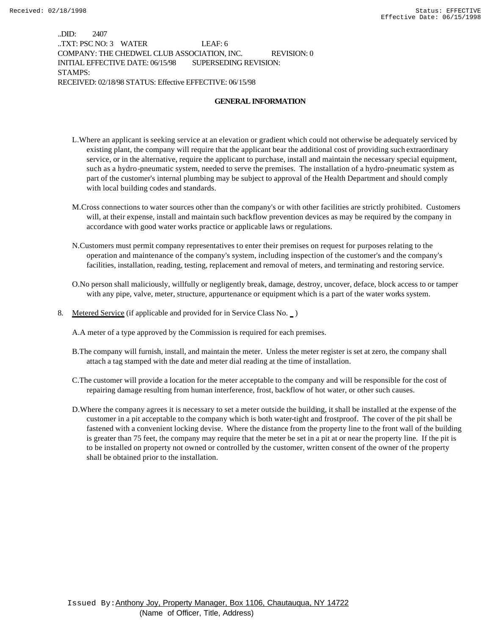..DID: 2407 ..TXT: PSC NO: 3 WATER LEAF: 6 COMPANY: THE CHEDWEL CLUB ASSOCIATION, INC. REVISION: 0 INITIAL EFFECTIVE DATE: 06/15/98 SUPERSEDING REVISION: STAMPS: RECEIVED: 02/18/98 STATUS: Effective EFFECTIVE: 06/15/98

#### **GENERAL INFORMATION**

- L.Where an applicant is seeking service at an elevation or gradient which could not otherwise be adequately serviced by existing plant, the company will require that the applicant bear the additional cost of providing such extraordinary service, or in the alternative, require the applicant to purchase, install and maintain the necessary special equipment, such as a hydro-pneumatic system, needed to serve the premises. The installation of a hydro-pneumatic system as part of the customer's internal plumbing may be subject to approval of the Health Department and should comply with local building codes and standards.
- M.Cross connections to water sources other than the company's or with other facilities are strictly prohibited. Customers will, at their expense, install and maintain such backflow prevention devices as may be required by the company in accordance with good water works practice or applicable laws or regulations.
- N.Customers must permit company representatives to enter their premises on request for purposes relating to the operation and maintenance of the company's system, including inspection of the customer's and the company's facilities, installation, reading, testing, replacement and removal of meters, and terminating and restoring service.
- O.No person shall maliciously, willfully or negligently break, damage, destroy, uncover, deface, block access to or tamper with any pipe, valve, meter, structure, appurtenance or equipment which is a part of the water works system.
- 8. Metered Service (if applicable and provided for in Service Class No.  $\Box$ )

A.A meter of a type approved by the Commission is required for each premises.

- B.The company will furnish, install, and maintain the meter. Unless the meter register is set at zero, the company shall attach a tag stamped with the date and meter dial reading at the time of installation.
- C.The customer will provide a location for the meter acceptable to the company and will be responsible for the cost of repairing damage resulting from human interference, frost, backflow of hot water, or other such causes.
- D.Where the company agrees it is necessary to set a meter outside the building, it shall be installed at the expense of the customer in a pit acceptable to the company which is both water-tight and frostproof. The cover of the pit shall be fastened with a convenient locking devise. Where the distance from the property line to the front wall of the building is greater than 75 feet, the company may require that the meter be set in a pit at or near the property line. If the pit is to be installed on property not owned or controlled by the customer, written consent of the owner of the property shall be obtained prior to the installation.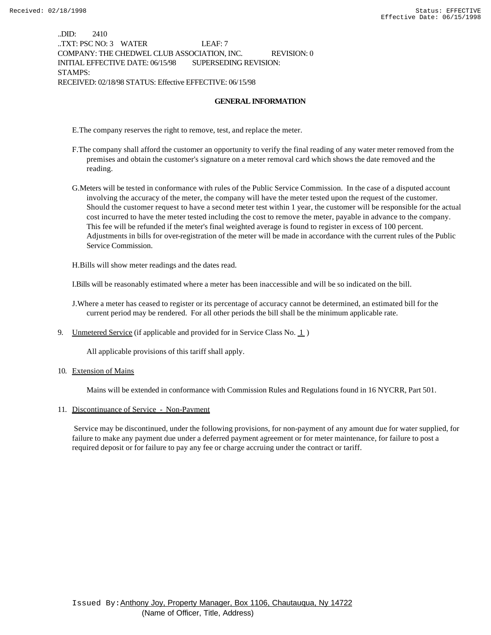..DID: 2410 ..TXT: PSC NO: 3 WATER LEAF: 7 COMPANY: THE CHEDWEL CLUB ASSOCIATION, INC. REVISION: 0 INITIAL EFFECTIVE DATE: 06/15/98 SUPERSEDING REVISION: STAMPS: RECEIVED: 02/18/98 STATUS: Effective EFFECTIVE: 06/15/98

#### **GENERAL INFORMATION**

E.The company reserves the right to remove, test, and replace the meter.

- F.The company shall afford the customer an opportunity to verify the final reading of any water meter removed from the premises and obtain the customer's signature on a meter removal card which shows the date removed and the reading.
- G.Meters will be tested in conformance with rules of the Public Service Commission. In the case of a disputed account involving the accuracy of the meter, the company will have the meter tested upon the request of the customer. Should the customer request to have a second meter test within 1 year, the customer will be responsible for the actual cost incurred to have the meter tested including the cost to remove the meter, payable in advance to the company. This fee will be refunded if the meter's final weighted average is found to register in excess of 100 percent. Adjustments in bills for over-registration of the meter will be made in accordance with the current rules of the Public Service Commission.

H.Bills will show meter readings and the dates read.

I.Bills will be reasonably estimated where a meter has been inaccessible and will be so indicated on the bill.

J.Where a meter has ceased to register or its percentage of accuracy cannot be determined, an estimated bill for the current period may be rendered. For all other periods the bill shall be the minimum applicable rate.

9. Unmetered Service (if applicable and provided for in Service Class No.  $1$ )

All applicable provisions of this tariff shall apply.

10. Extension of Mains

Mains will be extended in conformance with Commission Rules and Regulations found in 16 NYCRR, Part 501.

#### 11. Discontinuance of Service - Non-Payment

 Service may be discontinued, under the following provisions, for non-payment of any amount due for water supplied, for failure to make any payment due under a deferred payment agreement or for meter maintenance, for failure to post a required deposit or for failure to pay any fee or charge accruing under the contract or tariff.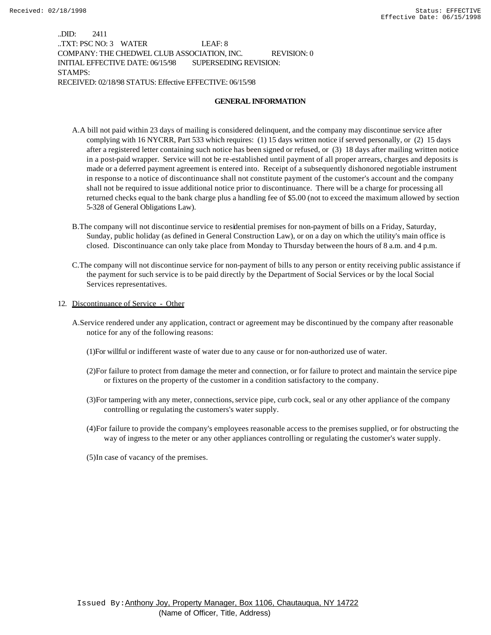..DID: 2411 ..TXT: PSC NO: 3 WATER LEAF: 8 COMPANY: THE CHEDWEL CLUB ASSOCIATION, INC. REVISION: 0 INITIAL EFFECTIVE DATE: 06/15/98 SUPERSEDING REVISION: STAMPS: RECEIVED: 02/18/98 STATUS: Effective EFFECTIVE: 06/15/98

#### **GENERAL INFORMATION**

- A.A bill not paid within 23 days of mailing is considered delinquent, and the company may discontinue service after complying with 16 NYCRR, Part 533 which requires: (1) 15 days written notice if served personally, or (2) 15 days after a registered letter containing such notice has been signed or refused, or (3) 18 days after mailing written notice in a post-paid wrapper. Service will not be re-established until payment of all proper arrears, charges and deposits is made or a deferred payment agreement is entered into. Receipt of a subsequently dishonored negotiable instrument in response to a notice of discontinuance shall not constitute payment of the customer's account and the company shall not be required to issue additional notice prior to discontinuance. There will be a charge for processing all returned checks equal to the bank charge plus a handling fee of \$5.00 (not to exceed the maximum allowed by section 5-328 of General Obligations Law).
- B.The company will not discontinue service to residential premises for non-payment of bills on a Friday, Saturday, Sunday, public holiday (as defined in General Construction Law), or on a day on which the utility's main office is closed. Discontinuance can only take place from Monday to Thursday between the hours of 8 a.m. and 4 p.m.
- C.The company will not discontinue service for non-payment of bills to any person or entity receiving public assistance if the payment for such service is to be paid directly by the Department of Social Services or by the local Social Services representatives.
- 12. Discontinuance of Service Other
	- A.Service rendered under any application, contract or agreement may be discontinued by the company after reasonable notice for any of the following reasons:
		- (1)For willful or indifferent waste of water due to any cause or for non-authorized use of water.
		- (2)For failure to protect from damage the meter and connection, or for failure to protect and maintain the service pipe or fixtures on the property of the customer in a condition satisfactory to the company.
		- (3)For tampering with any meter, connections, service pipe, curb cock, seal or any other appliance of the company controlling or regulating the customers's water supply.
		- (4)For failure to provide the company's employees reasonable access to the premises supplied, or for obstructing the way of ingress to the meter or any other appliances controlling or regulating the customer's water supply.
		- (5)In case of vacancy of the premises.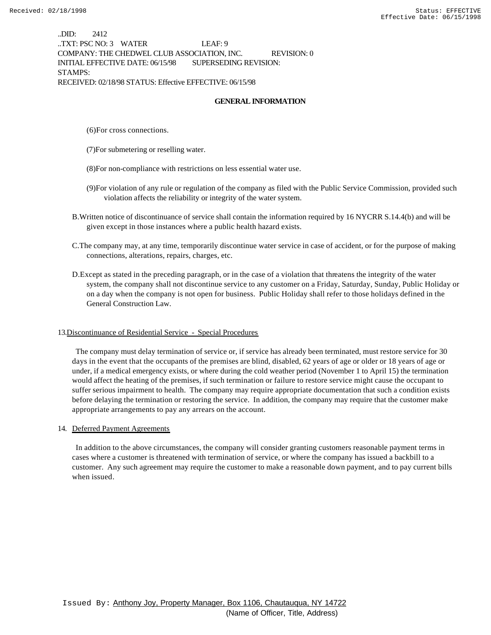..DID: 2412 ..TXT: PSC NO: 3 WATER LEAF: 9 COMPANY: THE CHEDWEL CLUB ASSOCIATION, INC. REVISION: 0 INITIAL EFFECTIVE DATE: 06/15/98 SUPERSEDING REVISION: STAMPS: RECEIVED: 02/18/98 STATUS: Effective EFFECTIVE: 06/15/98

#### **GENERAL INFORMATION**

(6)For cross connections.

(7)For submetering or reselling water.

(8)For non-compliance with restrictions on less essential water use.

- (9)For violation of any rule or regulation of the company as filed with the Public Service Commission, provided such violation affects the reliability or integrity of the water system.
- B.Written notice of discontinuance of service shall contain the information required by 16 NYCRR S.14.4(b) and will be given except in those instances where a public health hazard exists.
- C.The company may, at any time, temporarily discontinue water service in case of accident, or for the purpose of making connections, alterations, repairs, charges, etc.
- D.Except as stated in the preceding paragraph, or in the case of a violation that threatens the integrity of the water system, the company shall not discontinue service to any customer on a Friday, Saturday, Sunday, Public Holiday or on a day when the company is not open for business. Public Holiday shall refer to those holidays defined in the General Construction Law.

#### 13.Discontinuance of Residential Service - Special Procedures

 The company must delay termination of service or, if service has already been terminated, must restore service for 30 days in the event that the occupants of the premises are blind, disabled, 62 years of age or older or 18 years of age or under, if a medical emergency exists, or where during the cold weather period (November 1 to April 15) the termination would affect the heating of the premises, if such termination or failure to restore service might cause the occupant to suffer serious impairment to health. The company may require appropriate documentation that such a condition exists before delaying the termination or restoring the service. In addition, the company may require that the customer make appropriate arrangements to pay any arrears on the account.

#### 14. Deferred Payment Agreements

 In addition to the above circumstances, the company will consider granting customers reasonable payment terms in cases where a customer is threatened with termination of service, or where the company has issued a backbill to a customer. Any such agreement may require the customer to make a reasonable down payment, and to pay current bills when issued.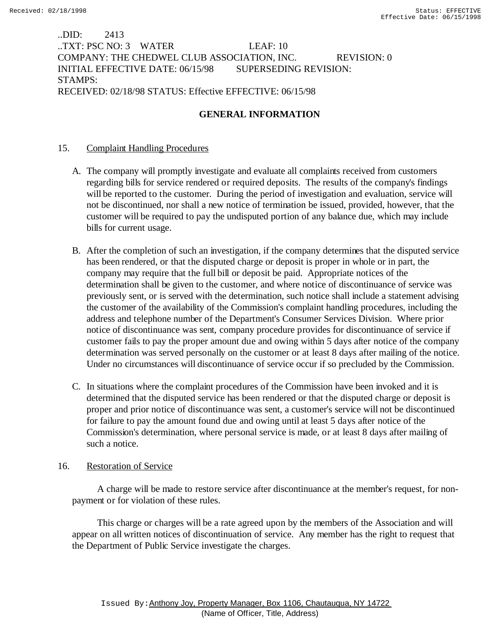..DID: 2413 ..TXT: PSC NO: 3 WATER LEAF: 10 COMPANY: THE CHEDWEL CLUB ASSOCIATION, INC. REVISION: 0 INITIAL EFFECTIVE DATE: 06/15/98 SUPERSEDING REVISION: STAMPS: RECEIVED: 02/18/98 STATUS: Effective EFFECTIVE: 06/15/98

# **GENERAL INFORMATION**

## 15. Complaint Handling Procedures

- A. The company will promptly investigate and evaluate all complaints received from customers regarding bills for service rendered or required deposits. The results of the company's findings will be reported to the customer. During the period of investigation and evaluation, service will not be discontinued, nor shall a new notice of termination be issued, provided, however, that the customer will be required to pay the undisputed portion of any balance due, which may include bills for current usage.
- B. After the completion of such an investigation, if the company determines that the disputed service has been rendered, or that the disputed charge or deposit is proper in whole or in part, the company may require that the full bill or deposit be paid. Appropriate notices of the determination shall be given to the customer, and where notice of discontinuance of service was previously sent, or is served with the determination, such notice shall include a statement advising the customer of the availability of the Commission's complaint handling procedures, including the address and telephone number of the Department's Consumer Services Division. Where prior notice of discontinuance was sent, company procedure provides for discontinuance of service if customer fails to pay the proper amount due and owing within 5 days after notice of the company determination was served personally on the customer or at least 8 days after mailing of the notice. Under no circumstances will discontinuance of service occur if so precluded by the Commission.
- C. In situations where the complaint procedures of the Commission have been invoked and it is determined that the disputed service has been rendered or that the disputed charge or deposit is proper and prior notice of discontinuance was sent, a customer's service will not be discontinued for failure to pay the amount found due and owing until at least 5 days after notice of the Commission's determination, where personal service is made, or at least 8 days after mailing of such a notice.

## 16. Restoration of Service

 A charge will be made to restore service after discontinuance at the member's request, for nonpayment or for violation of these rules.

 This charge or charges will be a rate agreed upon by the members of the Association and will appear on all written notices of discontinuation of service. Any member has the right to request that the Department of Public Service investigate the charges.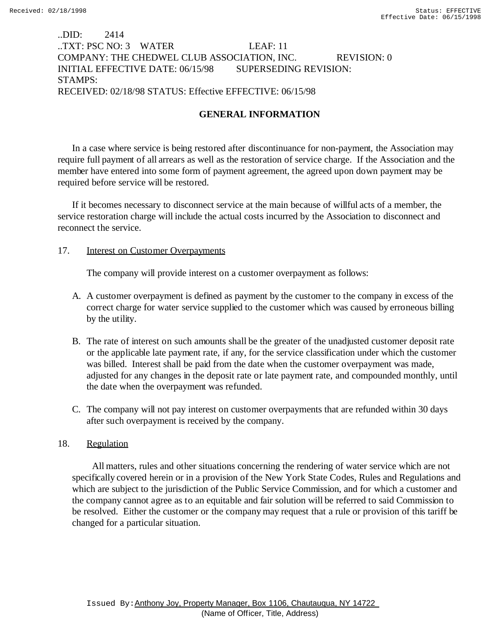## ..DID: 2414 ..TXT: PSC NO: 3 WATER LEAF: 11 COMPANY: THE CHEDWEL CLUB ASSOCIATION, INC. REVISION: 0 INITIAL EFFECTIVE DATE: 06/15/98 SUPERSEDING REVISION: STAMPS: RECEIVED: 02/18/98 STATUS: Effective EFFECTIVE: 06/15/98

# **GENERAL INFORMATION**

In a case where service is being restored after discontinuance for non-payment, the Association may require full payment of all arrears as well as the restoration of service charge. If the Association and the member have entered into some form of payment agreement, the agreed upon down payment may be required before service will be restored.

If it becomes necessary to disconnect service at the main because of willful acts of a member, the service restoration charge will include the actual costs incurred by the Association to disconnect and reconnect the service.

## 17. **Interest on Customer Overpayments**

The company will provide interest on a customer overpayment as follows:

- A. A customer overpayment is defined as payment by the customer to the company in excess of the correct charge for water service supplied to the customer which was caused by erroneous billing by the utility.
- B. The rate of interest on such amounts shall be the greater of the unadjusted customer deposit rate or the applicable late payment rate, if any, for the service classification under which the customer was billed. Interest shall be paid from the date when the customer overpayment was made, adjusted for any changes in the deposit rate or late payment rate, and compounded monthly, until the date when the overpayment was refunded.
- C. The company will not pay interest on customer overpayments that are refunded within 30 days after such overpayment is received by the company.

## 18. Regulation

 All matters, rules and other situations concerning the rendering of water service which are not specifically covered herein or in a provision of the New York State Codes, Rules and Regulations and which are subject to the jurisdiction of the Public Service Commission, and for which a customer and the company cannot agree as to an equitable and fair solution will be referred to said Commission to be resolved. Either the customer or the company may request that a rule or provision of this tariff be changed for a particular situation.